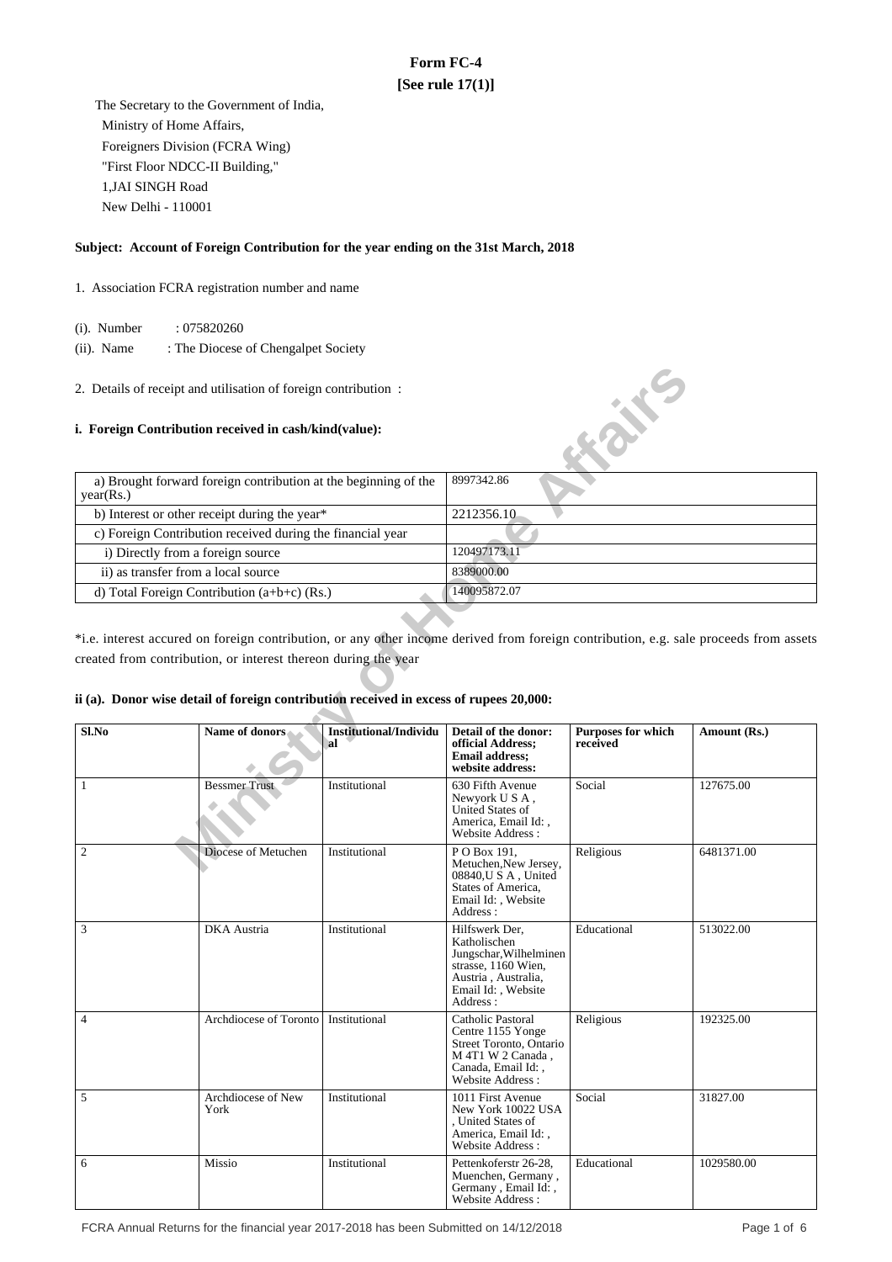# **Form FC-4 [See rule 17(1)]**

 The Secretary to the Government of India, Ministry of Home Affairs, Foreigners Division (FCRA Wing) "First Floor NDCC-II Building," 1,JAI SINGH Road New Delhi - 110001

### **Subject: Account of Foreign Contribution for the year ending on the 31st March, 2018**

- 1. Association FCRA registration number and name
	- (i). Number : 075820260
	- (ii). Name : The Diocese of Chengalpet Society
- 2. Details of receipt and utilisation of foreign contribution :

## **i. Foreign Contribution received in cash/kind(value):**

| a) Brought forward foreign contribution at the beginning of the<br>year(Rs.) | 8997342.86   |
|------------------------------------------------------------------------------|--------------|
| b) Interest or other receipt during the year*                                | 2212356.10   |
| c) Foreign Contribution received during the financial year                   |              |
| i) Directly from a foreign source                                            | 120497173.11 |
| ii) as transfer from a local source                                          | 8389000.00   |
| d) Total Foreign Contribution $(a+b+c)$ (Rs.)                                | 140095872.07 |

# **ii (a). Donor wise detail of foreign contribution received in excess of rupees 20,000:**

|                                     | 2. Details of receipt and utilisation of foreign contribution :                        |                                     |                                                                                                                                          |                                       |                                                                                                                                       |  |  |
|-------------------------------------|----------------------------------------------------------------------------------------|-------------------------------------|------------------------------------------------------------------------------------------------------------------------------------------|---------------------------------------|---------------------------------------------------------------------------------------------------------------------------------------|--|--|
|                                     | i. Foreign Contribution received in cash/kind(value):                                  |                                     |                                                                                                                                          | <b>Kaike</b>                          |                                                                                                                                       |  |  |
| year(Rs.)                           | a) Brought forward foreign contribution at the beginning of the                        |                                     | 8997342.86                                                                                                                               |                                       |                                                                                                                                       |  |  |
|                                     | b) Interest or other receipt during the year*                                          |                                     | 2212356.10                                                                                                                               |                                       |                                                                                                                                       |  |  |
|                                     | c) Foreign Contribution received during the financial year                             |                                     |                                                                                                                                          |                                       |                                                                                                                                       |  |  |
| i) Directly from a foreign source   |                                                                                        |                                     | 120497173.11                                                                                                                             |                                       |                                                                                                                                       |  |  |
| ii) as transfer from a local source |                                                                                        |                                     | 8389000.00                                                                                                                               |                                       |                                                                                                                                       |  |  |
|                                     | d) Total Foreign Contribution (a+b+c) (Rs.)                                            |                                     | 140095872.07                                                                                                                             |                                       |                                                                                                                                       |  |  |
|                                     |                                                                                        |                                     |                                                                                                                                          |                                       |                                                                                                                                       |  |  |
|                                     |                                                                                        |                                     |                                                                                                                                          |                                       | *i.e. interest accured on foreign contribution, or any other income derived from foreign contribution, e.g. sale proceeds from assets |  |  |
|                                     | created from contribution, or interest thereon during the year                         |                                     |                                                                                                                                          |                                       |                                                                                                                                       |  |  |
|                                     |                                                                                        |                                     |                                                                                                                                          |                                       |                                                                                                                                       |  |  |
|                                     |                                                                                        |                                     |                                                                                                                                          |                                       |                                                                                                                                       |  |  |
|                                     | ii (a). Donor wise detail of foreign contribution received in excess of rupees 20,000: |                                     |                                                                                                                                          |                                       |                                                                                                                                       |  |  |
| Sl.No                               | Name of donors                                                                         | <b>Institutional/Individu</b><br>al | Detail of the donor:<br>official Address;<br><b>Email address;</b><br>website address:                                                   | <b>Purposes for which</b><br>received | Amount (Rs.)                                                                                                                          |  |  |
| $\mathbf{1}$                        | <b>Bessmer Trust</b>                                                                   | Institutional                       | 630 Fifth Avenue<br>Newyork U S A,<br>United States of<br>America, Email Id:,<br>Website Address:                                        | Social                                | 127675.00                                                                                                                             |  |  |
| $\sqrt{2}$                          | Diocese of Metuchen                                                                    | Institutional                       | $\overline{P}$ O Box 191,<br>Metuchen, New Jersey,<br>08840, U S A, United<br>States of America,<br>Email Id:, Website<br>Address:       | Religious                             | 6481371.00                                                                                                                            |  |  |
| 3                                   | <b>DKA</b> Austria                                                                     | Institutional                       | Hilfswerk Der,<br>Katholischen<br>Jungschar, Wilhelminen<br>strasse, 1160 Wien,<br>Austria, Australia,<br>Email Id:, Website<br>Address: | Educational                           | 513022.00                                                                                                                             |  |  |
| 4                                   | Archdiocese of Toronto                                                                 | Institutional                       | Catholic Pastoral<br>Centre 1155 Yonge<br>Street Toronto, Ontario<br>M 4T1 W 2 Canada,<br>Canada, Email Id:,<br>Website Address:         | Religious                             | 192325.00                                                                                                                             |  |  |
| 5                                   | Archdiocese of New<br>York                                                             | Institutional                       | 1011 First Avenue<br>New York 10022 USA<br>. United States of<br>America, Email Id:,<br>Website Address:                                 | Social                                | 31827.00                                                                                                                              |  |  |
| 6                                   | Missio                                                                                 | Institutional                       | Pettenkoferstr 26-28,<br>Muenchen, Germany,<br>Germany, Email Id:,<br>Website Address:                                                   | Educational                           | 1029580.00                                                                                                                            |  |  |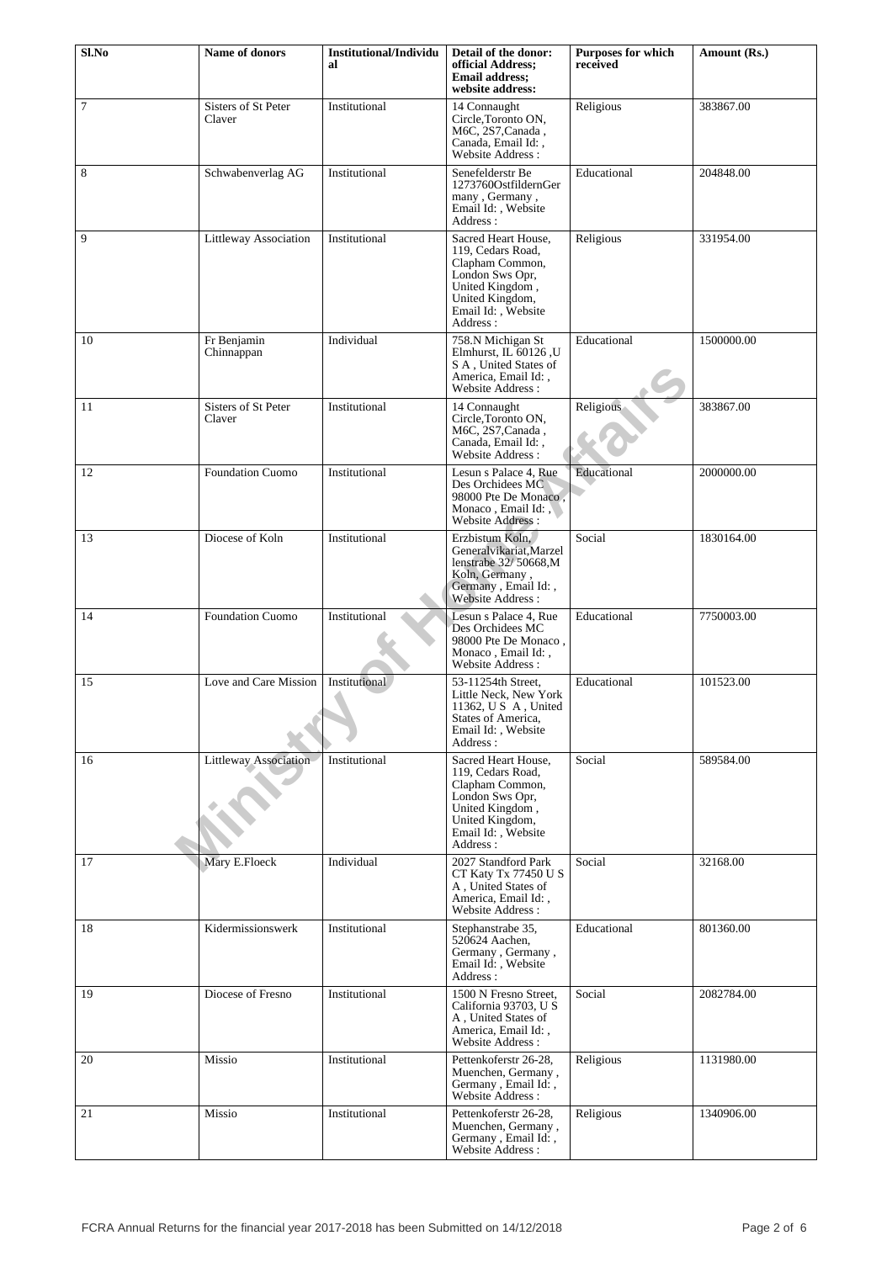| Sl.No | Name of donors                | <b>Institutional/Individu</b> | Detail of the donor:                                                                                                                                   | <b>Purposes for which</b> | Amount (Rs.) |
|-------|-------------------------------|-------------------------------|--------------------------------------------------------------------------------------------------------------------------------------------------------|---------------------------|--------------|
|       |                               | al                            | official Address;<br><b>Email address:</b><br>website address:                                                                                         | received                  |              |
| 7     | Sisters of St Peter<br>Claver | Institutional                 | 14 Connaught<br>Circle, Toronto ON,<br>M6C, 2S7, Canada,<br>Canada, Email Id:,<br>Website Address:                                                     | Religious                 | 383867.00    |
| 8     | Schwabenverlag AG             | Institutional                 | Senefelderstr Be<br>1273760OstfildernGer<br>many, Germany,<br>Email Id:, Website<br>Address:                                                           | Educational               | 204848.00    |
| 9     | Littleway Association         | Institutional                 | Sacred Heart House,<br>119, Cedars Road,<br>Clapham Common,<br>London Sws Opr,<br>United Kingdom,<br>United Kingdom,<br>Email Id:, Website<br>Address: | Religious                 | 331954.00    |
| 10    | Fr Benjamin<br>Chinnappan     | Individual                    | 758.N Michigan St<br>Elmhurst, IL 60126, U<br>S A, United States of<br>America, Email Id:,<br>Website Address:                                         | Educational               | 1500000.00   |
| 11    | Sisters of St Peter<br>Claver | Institutional                 | 14 Connaught<br>Circle, Toronto ON,<br>M6C, 2S7, Canada,<br>Canada, Email Id:,<br>Website Address:                                                     | Religious                 | 383867.00    |
| 12    | <b>Foundation Cuomo</b>       | Institutional                 | Lesun s Palace 4, Rue<br>Des Orchidees MC<br>98000 Pte De Monaco,<br>Monaco, Email Id:,<br>Website Address:                                            | Educational               | 2000000.00   |
| 13    | Diocese of Koln               | Institutional                 | Erzbistum Koln.<br>Generalvikariat, Marzel<br>lenstrabe 32/50668,M<br>Koln, Germany,<br>Germany, Email Id:,<br>Website Address :                       | Social                    | 1830164.00   |
| 14    | <b>Foundation Cuomo</b>       | Institutional                 | Lesun s Palace 4, Rue<br>Des Orchidees MC<br>98000 Pte De Monaco,<br>Monaco, Email Id:,<br><b>Website Address:</b>                                     | Educational               | 7750003.00   |
| 15    | Love and Care Mission         | Institutional                 | 53-11254th Street.<br>Little Neck, New York<br>11362, U S A, United<br>States of America,<br>Email Id:, Website<br>Address:                            | Educational               | 101523.00    |
| 16    | Littleway Association         | Institutional                 | Sacred Heart House.<br>119. Cedars Road.<br>Clapham Common,<br>London Sws Opr,<br>United Kingdom,<br>United Kingdom,<br>Email Id:, Website<br>Address: | Social                    | 589584.00    |
| 17    | Mary E.Floeck                 | Individual                    | 2027 Standford Park<br>CT Katy Tx 77450 U S<br>A, United States of<br>America, Email Id:,<br>Website Address:                                          | Social                    | 32168.00     |
| 18    | Kidermissionswerk             | Institutional                 | Stephanstrabe 35,<br>520624 Aachen,<br>Germany, Germany,<br>Email Id:, Website<br>Address:                                                             | Educational               | 801360.00    |
| 19    | Diocese of Fresno             | Institutional                 | 1500 N Fresno Street,<br>California 93703, U S<br>A, United States of<br>America, Email Id:,<br>Website Address:                                       | Social                    | 2082784.00   |
| 20    | Missio                        | Institutional                 | Pettenkoferstr 26-28,<br>Muenchen, Germany,<br>Germany, Email Id:,<br>Website Address :                                                                | Religious                 | 1131980.00   |
| 21    | Missio                        | Institutional                 | Pettenkoferstr 26-28,<br>Muenchen, Germany,<br>Germany, Email Id:,<br>Website Address:                                                                 | Religious                 | 1340906.00   |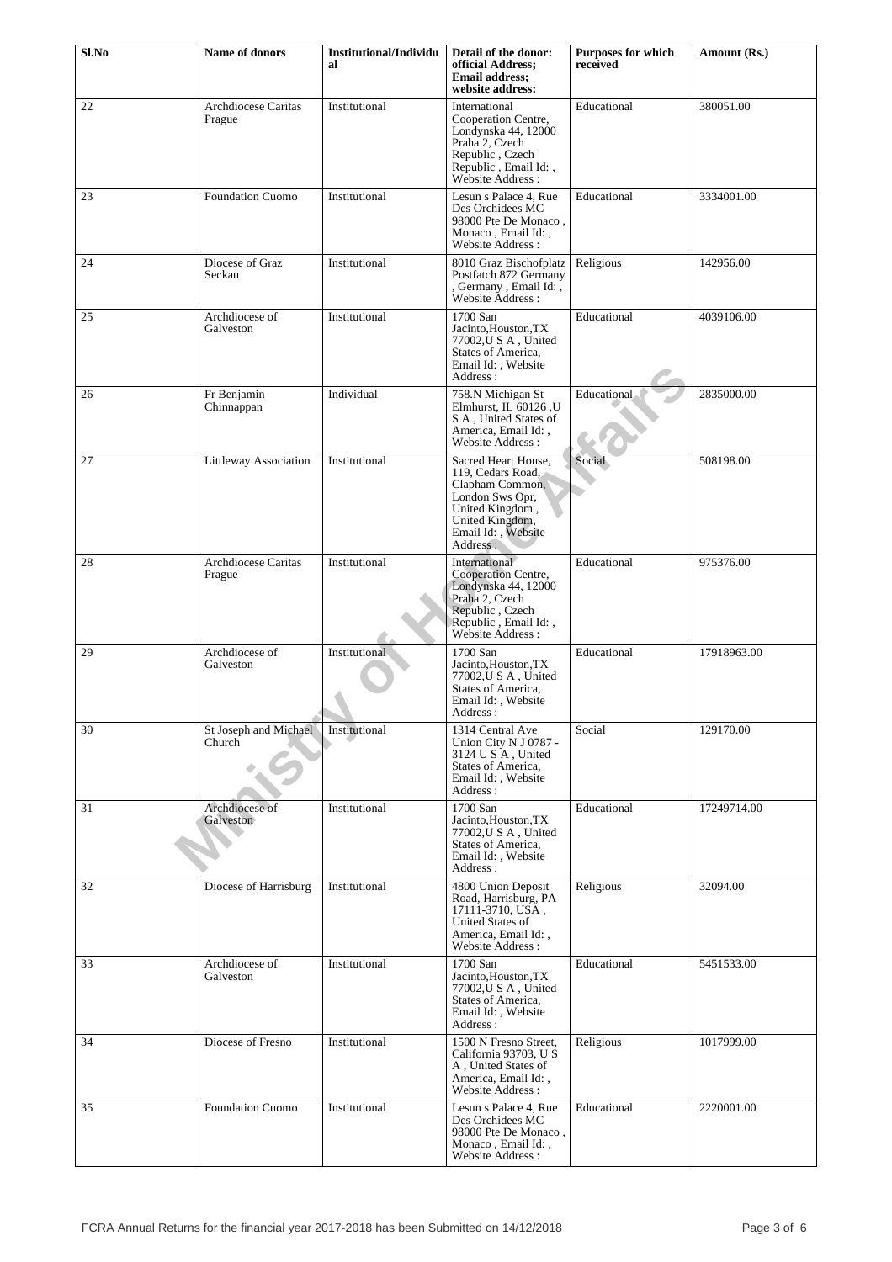| Sl.No | Name of donors                  | <b>Institutional/Individu</b><br>al | Detail of the donor:<br>official Address;<br><b>Email address;</b><br>website address:                                                                 | Purposes for which<br>received | Amount (Rs.) |
|-------|---------------------------------|-------------------------------------|--------------------------------------------------------------------------------------------------------------------------------------------------------|--------------------------------|--------------|
| 22    | Archdiocese Caritas<br>Prague   | Institutional                       | International<br>Cooperation Centre,<br>Londynska 44, 12000<br>Praha 2, Czech<br>Republic, Czech<br>Republic, Email Id:,<br>Website Address:           | Educational                    | 380051.00    |
| 23    | <b>Foundation Cuomo</b>         | Institutional                       | Lesun s Palace 4, Rue<br>Des Orchidees MC<br>98000 Pte De Monaco,<br>Monaco, Email Id:,<br>Website Address:                                            | Educational                    | 3334001.00   |
| 24    | Diocese of Graz<br>Seckau       | Institutional                       | 8010 Graz Bischofplatz<br>Postfatch 872 Germany<br>, Germany, Email Id:,<br>Website Address:                                                           | Religious                      | 142956.00    |
| 25    | Archdiocese of<br>Galveston     | Institutional                       | 1700 San<br>Jacinto, Houston, TX<br>77002.U S A . United<br>States of America,<br>Email Id:, Website<br>Address:                                       | Educational                    | 4039106.00   |
| 26    | Fr Benjamin<br>Chinnappan       | Individual                          | 758.N Michigan St<br>Elmhurst, IL 60126, U<br>S A, United States of<br>America, Email Id:,<br>Website Address:                                         | <b>Educational</b>             | 2835000.00   |
| 27    | Littleway Association           | Institutional                       | Sacred Heart House,<br>119, Cedars Road,<br>Clapham Common,<br>London Sws Opr,<br>United Kingdom,<br>United Kingdom,<br>Email Id:, Website<br>Address: | Social                         | 508198.00    |
| 28    | Archdiocese Caritas<br>Prague   | Institutional                       | International<br>Cooperation Centre,<br>Londynska 44, 12000<br>Praha 2, Czech<br>Republic, Czech<br>Republic, Email Id:,<br>Website Address :          | Educational                    | 975376.00    |
| 29    | Archdiocese of<br>Galveston     | Institutional                       | 1700 San<br>Jacinto, Houston, TX<br>77002, U S A, United<br>States of America,<br>Email Id:, Website<br>Address :                                      | Educational                    | 17918963.00  |
| 30    | St Joseph and Michael<br>Church | Institutional                       | 1314 Central Ave<br>Union City N J 0787 -<br>3124 U S A, United<br>States of America,<br>Email Id:, Website<br>Address:                                | Social                         | 129170.00    |
| 31    | Archdiocese of<br>Galveston     | Institutional                       | 1700 San<br>Jacinto, Houston, TX<br>77002, U S A, United<br>States of America,<br>Email Id:, Website<br>Address:                                       | Educational                    | 17249714.00  |
| 32    | Diocese of Harrisburg           | Institutional                       | 4800 Union Deposit<br>Road, Harrisburg, PA<br>17111-3710, USA,<br>United States of<br>America, Email Id:,<br>Website Address:                          | Religious                      | 32094.00     |
| 33    | Archdiocese of<br>Galveston     | Institutional                       | 1700 San<br>Jacinto, Houston, TX<br>77002, U S A, United<br>States of America,<br>Email Id:, Website<br>Address:                                       | Educational                    | 5451533.00   |
| 34    | Diocese of Fresno               | Institutional                       | 1500 N Fresno Street,<br>California 93703, U S<br>A, United States of<br>America, Email Id:,<br>Website Address:                                       | Religious                      | 1017999.00   |
| 35    | <b>Foundation Cuomo</b>         | Institutional                       | Lesun s Palace 4, Rue<br>Des Orchidees MC<br>98000 Pte De Monaco,<br>Monaco, Email Id:,<br>Website Address:                                            | Educational                    | 2220001.00   |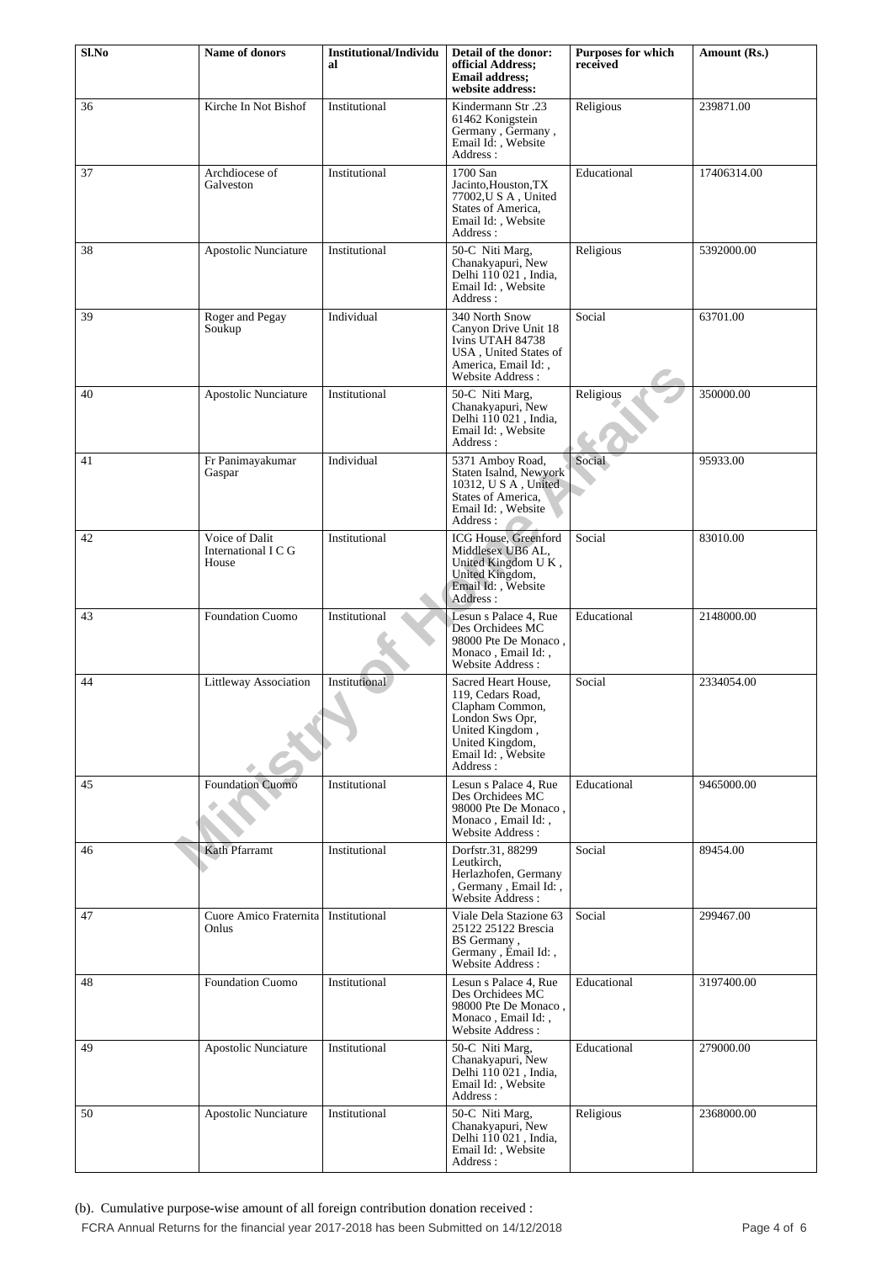| Sl.No | <b>Name of donors</b>                          | <b>Institutional/Individu</b><br>al | Detail of the donor:<br>official Address;<br>Email address;                                                                                            | <b>Purposes for which</b><br>received | Amount (Rs.) |
|-------|------------------------------------------------|-------------------------------------|--------------------------------------------------------------------------------------------------------------------------------------------------------|---------------------------------------|--------------|
| 36    | Kirche In Not Bishof                           | Institutional                       | website address:<br>Kindermann Str.23<br>61462 Konigstein<br>Germany, Germany,<br>Email Id:, Website<br>Address:                                       | Religious                             | 239871.00    |
| 37    | Archdiocese of<br>Galveston                    | Institutional                       | 1700 San<br>Jacinto, Houston, TX<br>77002, U S A, United<br>States of America.<br>Email Id:, Website<br>Address:                                       | Educational                           | 17406314.00  |
| 38    | Apostolic Nunciature                           | Institutional                       | 50-C Niti Marg,<br>Chanakyapuri, New<br>Delhi $110021$ , India,<br>Email Id:, Website<br>Address:                                                      | Religious                             | 5392000.00   |
| 39    | Roger and Pegay<br>Soukup                      | Individual                          | 340 North Snow<br>Canyon Drive Unit 18<br>Ivins UTAH 84738<br>USA, United States of<br>America, Email Id:,<br>Website Address:                         | Social                                | 63701.00     |
| 40    | Apostolic Nunciature                           | Institutional                       | 50-C Niti Marg,<br>Chanakyapuri, New<br>Delhi 110 021, India,<br>Email Id:, Website<br>Address:                                                        | Religious                             | 350000.00    |
| 41    | Fr Panimayakumar<br>Gaspar                     | Individual                          | 5371 Amboy Road,<br>Staten Isalnd, Newyork<br>10312, U S A, United<br>States of America,<br>Email Id: , Website<br>Address :                           | Social                                | 95933.00     |
| 42    | Voice of Dalit<br>International I C G<br>House | Institutional                       | ICG House, Greenford<br>Middlesex UB6 AL,<br>United Kingdom U K,<br>United Kingdom,<br>Email Id:, Website<br>Address:                                  | Social                                | 83010.00     |
| 43    | <b>Foundation Cuomo</b>                        | Institutional                       | Lesun s Palace 4, Rue<br>Des Orchidees MC<br>98000 Pte De Monaco,<br>Monaco, Email Id:,<br>Website Address:                                            | Educational                           | 2148000.00   |
| 44    | Littleway Association                          | Institutional                       | Sacred Heart House,<br>119, Cedars Road,<br>Clapham Common,<br>London Sws Opr,<br>United Kingdom,<br>United Kingdom,<br>Email Id:, Website<br>Address: | Social                                | 2334054.00   |
| 45    | <b>Foundation Cuomo</b>                        | Institutional                       | Lesun s Palace 4, Rue<br>Des Orchidees MC<br>98000 Pte De Monaco,<br>Monaco, Email Id:,<br>Website Address:                                            | Educational                           | 9465000.00   |
| 46    | Kath Pfarramt                                  | Institutional                       | Dorfstr.31, 88299<br>Leutkirch,<br>Herlazhofen, Germany<br>, Germany, Email Id:,<br>Website Address:                                                   | Social                                | 89454.00     |
| 47    | Cuore Amico Fraternita<br>Onlus                | Institutional                       | Viale Dela Stazione 63<br>25122 25122 Brescia<br>BS Germany,<br>Germany, Email Id:,<br>Website Address:                                                | Social                                | 299467.00    |
| 48    | <b>Foundation Cuomo</b>                        | Institutional                       | Lesun s Palace 4, Rue<br>Des Orchidees MC<br>98000 Pte De Monaco,<br>Monaco, Email Id:,<br>Website Address:                                            | Educational                           | 3197400.00   |
| 49    | Apostolic Nunciature                           | Institutional                       | 50-C Niti Marg,<br>Chanakyapuri, New<br>Delhi $110021$ , India,<br>Email Id:, Website<br>Address:                                                      | Educational                           | 279000.00    |
| 50    | Apostolic Nunciature                           | Institutional                       | 50-C Niti Marg,<br>Chanakyapuri, New<br>Delhi 110 021, India,<br>Email Id:, Website<br>Address:                                                        | Religious                             | 2368000.00   |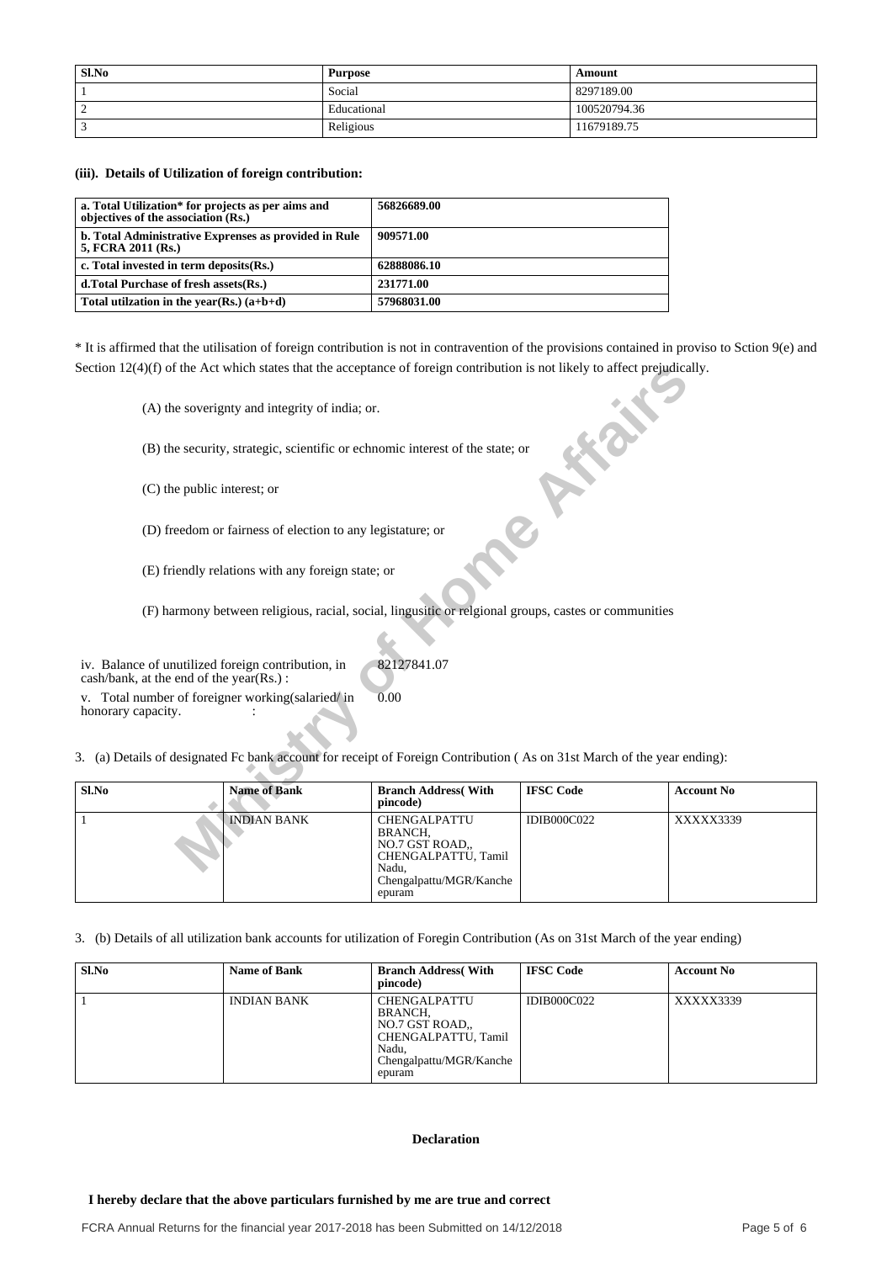| Sl.No | Purpose     | Amount       |
|-------|-------------|--------------|
|       | Social      | 8297189.00   |
|       | Educational | 100520794.36 |
|       | Religious   | 11679189.75  |

### **(iii). Details of Utilization of foreign contribution:**

| a. Total Utilization* for projects as per aims and<br>objectives of the association (Rs.) | 56826689.00 |
|-------------------------------------------------------------------------------------------|-------------|
| b. Total Administrative Exprenses as provided in Rule<br>5, FCRA 2011 (Rs.)               | 909571.00   |
| c. Total invested in term deposits(Rs.)                                                   | 62888086.10 |
| d. Total Purchase of fresh assets (Rs.)                                                   | 231771.00   |
| Total utilization in the year(Rs.) $(a+b+d)$                                              | 57968031.00 |

\* It is affirmed that the utilisation of foreign contribution is not in contravention of the provisions contained in proviso to Sction 9(e) and Section 12(4)(f) of the Act which states that the acceptance of foreign contribution is not likely to affect prejudically.

| Section $12(4)(t)$ of the Act which states that the acceptance of foreign contribution is not likely to affect prejudically. |                                                                                                                       |                                                                                                                                                                   |                                                                                                      |  |  |  |  |
|------------------------------------------------------------------------------------------------------------------------------|-----------------------------------------------------------------------------------------------------------------------|-------------------------------------------------------------------------------------------------------------------------------------------------------------------|------------------------------------------------------------------------------------------------------|--|--|--|--|
|                                                                                                                              |                                                                                                                       |                                                                                                                                                                   |                                                                                                      |  |  |  |  |
| (B) the security, strategic, scientific or echnomic interest of the state; or                                                |                                                                                                                       |                                                                                                                                                                   |                                                                                                      |  |  |  |  |
| (C) the public interest; or                                                                                                  |                                                                                                                       |                                                                                                                                                                   |                                                                                                      |  |  |  |  |
|                                                                                                                              |                                                                                                                       |                                                                                                                                                                   |                                                                                                      |  |  |  |  |
|                                                                                                                              |                                                                                                                       |                                                                                                                                                                   |                                                                                                      |  |  |  |  |
|                                                                                                                              |                                                                                                                       |                                                                                                                                                                   |                                                                                                      |  |  |  |  |
|                                                                                                                              |                                                                                                                       |                                                                                                                                                                   |                                                                                                      |  |  |  |  |
| iv. Balance of unutilized foreign contribution, in<br>cash/bank, at the end of the year(Rs.):                                | 82127841.07                                                                                                           |                                                                                                                                                                   |                                                                                                      |  |  |  |  |
| v. Total number of foreigner working (salaried/in                                                                            | 0.00                                                                                                                  |                                                                                                                                                                   |                                                                                                      |  |  |  |  |
|                                                                                                                              |                                                                                                                       |                                                                                                                                                                   |                                                                                                      |  |  |  |  |
| 3. (a) Details of designated Fc bank account for receipt of Foreign Contribution (As on 31st March of the year ending):      |                                                                                                                       |                                                                                                                                                                   |                                                                                                      |  |  |  |  |
| <b>Name of Bank</b>                                                                                                          | <b>Branch Address</b> (With<br>pincode)                                                                               | <b>IFSC</b> Code                                                                                                                                                  | <b>Account No</b>                                                                                    |  |  |  |  |
| <b>INDIAN BANK</b>                                                                                                           | CHENGALPATTU<br><b>BRANCH,</b><br>NO.7 GST ROAD,<br>CHENGALPATTU, Tamil<br>Nadu,<br>Chengalpattu/MGR/Kanche<br>epuram | IDIB000C022                                                                                                                                                       | XXXXX3339                                                                                            |  |  |  |  |
|                                                                                                                              |                                                                                                                       | (A) the soverignty and integrity of india; or.<br>(D) freedom or fairness of election to any legistature; or<br>(E) friendly relations with any foreign state; or | (F) harmony between religious, racial, social, lingusitic or relgional groups, castes or communities |  |  |  |  |

3. (b) Details of all utilization bank accounts for utilization of Foregin Contribution (As on 31st March of the year ending)

| Sl.No | <b>Name of Bank</b> | <b>Branch Address</b> (With<br>pincode)                                                                               | <b>IFSC Code</b>   | <b>Account No</b> |
|-------|---------------------|-----------------------------------------------------------------------------------------------------------------------|--------------------|-------------------|
|       | <b>INDIAN BANK</b>  | <b>CHENGALPATTU</b><br>BRANCH.<br>NO.7 GST ROAD.<br>CHENGALPATTU, Tamil<br>Nadu,<br>Chengalpattu/MGR/Kanche<br>epuram | <b>IDIB000C022</b> | XXXXX3339         |

### **Declaration**